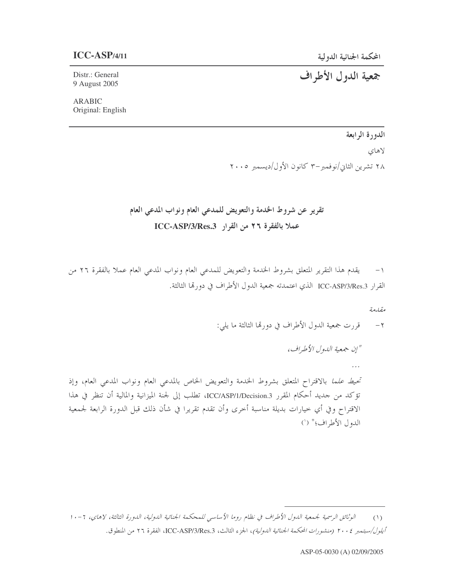## $ICC-ASP/4/11$

## جمعية الدول الأطراف

Distr.: General 9 August 2005

**ARABIC** Original: English

## الدورة الرابعة

لاهای

٢٨ تشرين الثاني/نوفمبر–٣ كانون الأول/ديسمبر ٢٠٠٥

تقرير عن شروط الخدمة والتعويض للمدعى العام ونواب المدعى العام عملا بالفقرة ٢٦ من القرار ICC-ASP/3/Res.3

١– يقدم هذا التقرير المتعلق بشروط الحدمة والتعويض للمدعى العام ونواب المدعى العام عملا بالفقرة ٢٦ من القرار ICC-ASP/3/Res.3 الذي اعتمدته جمعية الدول الأطراف في دورتما الثالثة.

مقلدمة

"إن جمعية الدول الأطراف، تحيط علما بالاقتراح المتعلق بشروط الخدمة والتعويض الخاص بالمدعى العام ونواب المدعى العام، وإذ تؤكد من جديد أحكام المقرر ICC/ASP/1/Decision.3، تطلب إلى لجنة الميزانية والمالية أن تنظر في هذا الاقتراح وفي أي خيارات بديلة مناسبة أخرى وأن تقدم تقريرا في شأن ذلك قبل الدورة الرابعة لجمعية الدول الأطراف؛" (')

الوثائق الرسمية لجمعية الدول الأطراف في نظام روما الأساسي للمحكمة الجنائية الدولية، الدورة الثالثة، لاهاي، ٦-١٠  $(1)$ أيلول/سبتمبر ٢٠٠٤ (منشورات المحكمة الجنائية اللولية)، الجزء الثالث، ICC-ASP/3/Res.3، الفقرة ٢٦ من المنطوق.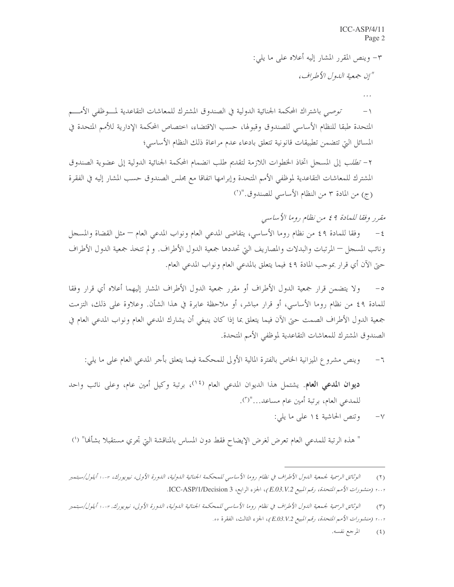٣- وينص المقرر المشار إليه أعلاه على ما يلي: "إن جمعية اللهول الأطراف،

توصى باشتراك المحكمة الجنائية الدولية في الصندوق المشترك للمعاشات التقاعدية لموظفى الأمسم  $-$  \ المتحدة طبقا للنظام الأساسي للصندوق وقبولها، حسب الاقتضاء، اختصاص المحكمة الإدارية للأمم المتحدة في المسائل التي تتضمن تطبيقات قانونية تتعلق بادعاء عدم مراعاة ذلك النظام الأساسي؛

٢- *تطلب* إلى المسجل اتخاذ الخطوات اللازمة لتقديم طلب انضمام المحكمة الجنائية الدولية إلى عضوية الصندوق المشترك للمعاشات التقاعدية لموظفي الأمم المتحدة وإبرامها اتفاقا مع مجلس الصندوق حسب المشار إليه في الفقرة (ج) من المادة ٣ من النظام الأساسي للصندوق."(`)

مقرر وفقا للمادة 3 مح من نظام روما الأساسي وفقا للمادة ٤٩ من نظام روما الأساسي، يتقاضى المدعى العام ونواب المدعى العام – مثل القضاة والمسحل  $-\xi$ ونائب المسجل – المرتبات والبدلات والمصاريف التي تحددها جمعية الدول الأطراف. ولم تتخذ جمعية الدول الأطراف حتى الآن أي قرار بموحب المادة ٤٩ فيما يتعلق بالمدعى العام ونواب المدعى العام.

ولا يتضمن قرار جمعية الدول الأطراف أو مقرر جمعية الدول الأطراف المشار إليهما أعلاه أي قرار وفقا  $-\circ$ للمادة ٤٩ من نظام روما الأساسي، أو قرار مباشر، أو ملاحظة عابرة في هذا الشأن. وعلاوة على ذلك، التزمت جمعية الدول الأطراف الصمت حتى الآن فيما يتعلق بما إذا كان ينبغي أن يشارك المدعى العام ونواب المدعى العام في الصندوق المشترك للمعاشات التقاعدية لموظفي الأمم المتحدة.

وينص مشروع الميزانية الخاص بالفترة المالية الأولى للمحكمة فيما يتعلق بأجر المدعى العام على ما يلي:  $-7$ 

ديوان المدعى العام. يشتمل هذا الديوان المدعى العام <sup>(١٤)</sup>، برتبة وكيل أمين عام، وعلى نائب واحد للمدعى العام، برتبة أمين عام مساعد..."(٢).

> وتنص الحاشية ١٤ على ما يلي:  $-\vee$

" هذه الرتبة للمدعى العام تعرض لغرض الإيضاح فقط دون المساس بالمناقشة التي تجري مستقبلا بشألها" (')

الوثائق الرسمية لجيعية اللول الأطراف في نظام روما الأساسي للمحكمة الجنائية اللولية، اللورة الأولى، نيويورك، ٦-١٠ أيلول/سبتمبر  $(\Upsilon)$ ٢٠٠٢ (منشورات الأمم المتحدة، رقم المبيع E.O3.V.2)، الجزء الثالث، الفقرة ٥٥.

> المرجع نفسه.  $(5)$

الوثائق الرسمية لجمعية الدول الأطراف في نظام روما الأساسي للمحكمة الجنائية الدولية، الدورة الأولى، نيويورك، ٦-١٠ أيلول/سبتمبر  $(1)$ ٢٠٠٢ (منشورات الأمم المتحلة، رقم المبيع E.03.V.2)، الجزء الرابع، ICC-ASP/1/Decision 3.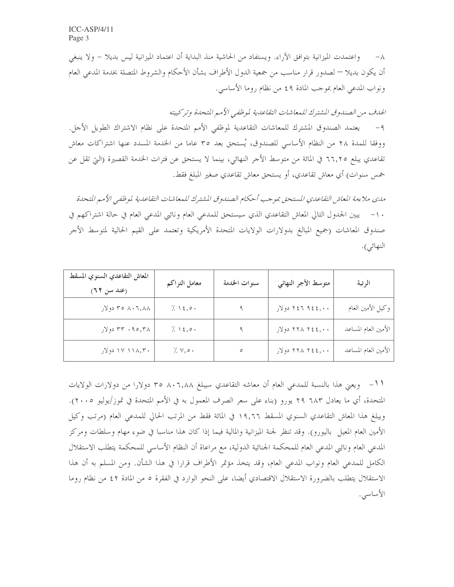واعتمدت الميزانية بتوافق الآراء. ويستفاد من الحاشية منذ البداية أن اعتماد الميزانية ليس بديلا – ولا ينبغي  $-\wedge$ أن يكون بديلا — لصدور قرار مناسب من جمعية الدول الأطراف بشأن الأحكام والشروط المتصلة بخدمة المدعى العام ونواب المدعى العام بموجب المادة ٤٩ من نظام روما الأساسي.

الهدف من الصندوق المشترك للمعاشات التقاعدية لموظفي الأمم التحدة وتركيبته

٩- يعتمد الصندوق المشترك للمعاشات التقاعدية لموظفي الأمم المتحدة على نظام الاشتراك الطويل الأجل. ووفقا للمدة ٢٨ من النظام الأساسي للصندوق، يُستحق بعد ٣٥ عاما من الخدمة المسدد عنها اشتراكات معاش تقاعدي يبلع ٦٦,٢٥ في المائة من متوسط الأجر النهائي، بينما لا يستحق عن فترات الخدمة القصيرة (التي تقل عن خمس سنوات) أي معاش تقاعدي، أو يستحق معاش تقاعدي صغير المبلغ فقط.

مدى ملاءمة المعاش التقاعدي المستحق بموجب أحكام الصندوق المشترك للمعاشات التقاعدية لموظفى الأمم التحدة ١٠– يبين الجدول التالي المعاش التقاعدي الذي سيستحق للمدعى العام ونائبي المدعى العام في حالة اشتراكهم في صندوق المعاشات (جميع المبالغ بدولارات الولايات المتحدة الأمريكية وتعتمد على القيم الحالية لمتوسط الأجر النهائي).

| المعاش التقاعدي السنوي المسقط<br>(عند سن ٦٢) | معامل التراكم                                                         | سنوات الخدمة | متوسط الأجر النهائي | الرتبة               |  |
|----------------------------------------------|-----------------------------------------------------------------------|--------------|---------------------|----------------------|--|
| ۸۰٦,۸۸ ۲۰ دولار                              | $\frac{1}{2}$ $\frac{1}{2}$ $\frac{1}{2}$ $\frac{1}{2}$ $\frac{1}{2}$ |              | ۲٤٦ ۹٤٤,٠٠          | وكيل الأمين العام    |  |
| ۳۳ ۰۹۰٫۳۸ دولار                              | $\frac{1}{2}$ $\frac{1}{2}$ $\frac{1}{2}$ $\frac{1}{2}$ $\frac{1}{2}$ | ٩            | ۲۲۸ ۲٤٤,۰۰۰ دولار   | الأمين العام المساعد |  |
| ۱۱۸٬۳۰ دولار                                 | 7.44                                                                  | ٥            | ۲۲۸ ۲٤٤,۰۰۰ دولار   | الأمين العام المساعد |  |

11- ويعني هذا بالنسبة للمدعى العام أن معاشه التقاعدي سيبلغ ٢٥ ٨٠٦,٨٨ ص دولارا من دولارات الولايات المتحدة، أي ما يعادل ٦٨٣ ٢٩ يورو (بناء على سعر الصرف المعمول به في الأمم المتحدة في تموز/يوليو ٢٠٠٥). ويبلغ هذا المعاش التقاعدي السنوي المسقط ١٩,٦٦ في المائة فقط من المرتب الحالي للمدعى العام (مرتب وكيل الأمين العام المعيل باليورو). وقد تنظر لجنة الميزانية والمالية فيما إذا كان هذا مناسبا في ضوء مهام وسلطات ومركز المدعي العام ونائبي المدعي العام للمحكمة الجنائية الدولية، مع مراعاة أن النظام الأساسي للمحكمة يتطلب الاستقلال الكامل للمدعى العام ونواب المدعى العام، وقد يتخذ مؤتمر الأطراف قرارا في هذا الشأن. ومن المسلم به أن هذا الاستقلال يتطلب بالضرورة الاستقلال الاقتصادي أيضا، على النحو الوارد في الفقرة ٥ من المادة ٤٢ من نظام روما الأساسى.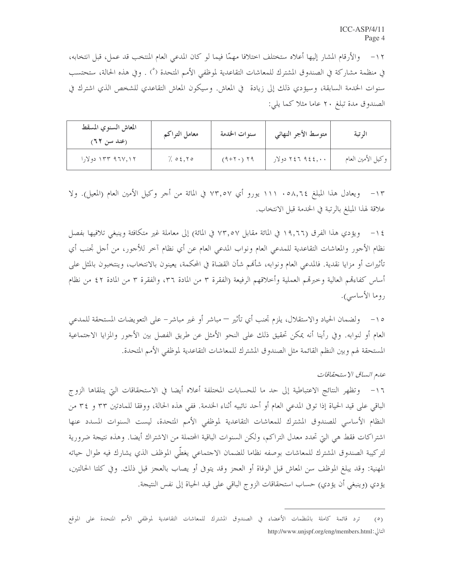والأرقام المشار إليها أعلاه ستختلف اختلافا مهمًّا فيما لو كان المدعي العام المنتخب قد عمل، قبل انتخابه،  $-11$ في منظمة مشاركة في الصندوق المشترك للمعاشات التقاعدية لموظفي الأمم المتحدة (°) . وفي هذه الحالة، ستحتسب سنوات الخدمة السابقة، وسيؤدي ذلك إلى زيادة في المعاش. وسيكون المعاش التقاعدي للشخص الذي اشترك في الصندوق مدة تبلغ ٢٠ عاما مثلا كما يلي:

| المعاش السنوي المسقط<br>(عند سن ٦٢) | معامل التراكم | سنوات الخدمة | متوسط الأجر النهائي | الرتبة            |  |
|-------------------------------------|---------------|--------------|---------------------|-------------------|--|
| $1, 2, 3$ ۲۳۳ ۹۶۷,۱۲                | 7.02,70       | $(9+7)$ 79   | ۲٤٦ ۹٤٤,٠٠          | وكيل الأمين العام |  |

١٣- ويعادل هذا المبلغ ٥٨,٦٤ . ١١١ يورو أي ٧٣,٥٧ في المائة من أحر وكيل الأمين العام (المعيل). ولا علاقة لهذا المبلغ بالرتبة في الخدمة قبل الانتخاب.

١٤ – ويؤدي هذا الفرق (١٩,٦٦ في المائة مقابل ٧٣,٥٧ في المائة) إلى معاملة غير متكافئة وينبغي تلافيها بفصل نظام الأجور والمعاشات التقاعدية للمدعى العام ونواب المدعى العام عن أي نظام آخر للأجور، من أجل تجنب أي تأثيرات أو مزايا نقدية. فالمدعى العام ونوابه، شألهم شأن القضاة في المحكمة، يعينون بالانتخاب، وينتخبون بالمثل على أساس كفاءتهم العالية وخبرتمم العملية وأخلاقهم الرفيعة (الفقرة ٣ من المادة ٣٦، والفقرة ٣ من المادة ٤٢ من نظام روما الأساسي).

١٥– ولضمان الحياد والاستقلال، يلزم تجنب أي تأثير — مباشر أو غير مباشر– على التعويضات المستحقة للمدعى العام أو لنوابه. وفي رأينا أنه يمكن تحقيق ذلك على النحو الأمثل عن طريق الفصل بين الأجور والمزايا الاجتماعية المستحقة لهم وبين النظم القائمة مثل الصندوق المشترك للمعاشات التقاعدية لموظفي الأمم المتحدة.

عدم اتساق الاستحقاقات

١٦- وتظهر النتائج الاعتباطية إلى حد ما للحسابات المختلفة أعلاه أيضا في الاستحقاقات التي يتلقاها الزوج الباقي على قيد الحياة إذا توفي المدعى العام أو أحد نائبيه أثناء الخدمة. ففي هذه الحالة، ووفقا للمادتين ٣٣ و ٣٤ من النظام الأساسي للصندوق المشترك للمعاشات التقاعدية لموظفي الأمم المتحدة، ليست السنوات المسدد عنها اشتراكات فقط هي التي تحدد معدل التراكم، ولكن السنوات الباقية المحتملة من الاشتراك أيضا. وهذه نتيجة ضرورية لتركيبة الصندوق المشترك للمعاشات بوصفه نظاما للضمان الاحتماعي يغطّي الموظف الذي يشارك فيه طوال حياته المهنية: وقد يبلغ الموظف سن المعاش قبل الوفاة أو العجز وقد يتوفى أو يصاب بالعجز قبل ذلك. وفي كلتا الحالتين، يؤدي (وينبغي أن يؤدي) حساب استحقاقات الزوج الباقي على قيد الحياة إلى نفس النتيجة.

ترد قائمة كاملة بالمنظمات الأعضاء في الصندوق المشترك للمعاشات التقاعدية لموظفي الأمم المتحدة على الموقع  $(0)$ التالي: http://www.unjspf.org/eng/members.html